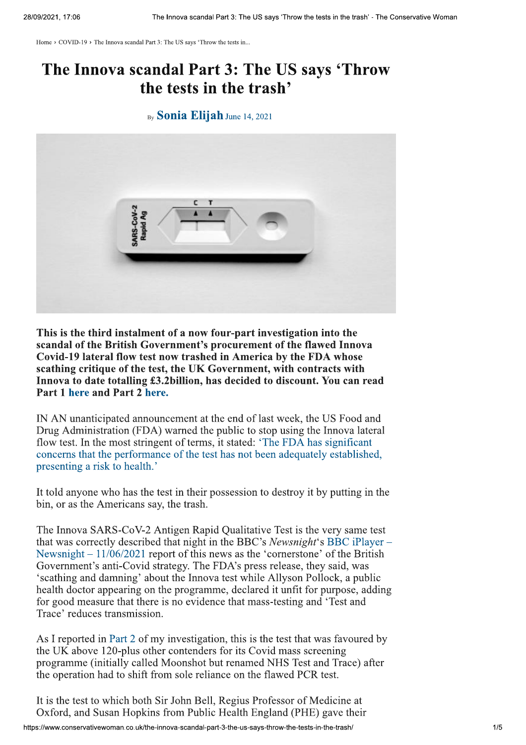Home > COVID-19 > The Innova scandal Part 3: The US says 'Throw the tests in...

## The Innova scandal Part 3: The US says 'Throw the tests in the trash'

## By **Sonia Elijah** June 14, 2021



This is the third instalment of a now four-part investigation into the scandal of the British Government's procurement of the flawed Innova Covid-19 lateral flow test now trashed in America by the FDA whose scathing critique of the test, the UK Government, with contracts with Innova to date totalling £3.2 billion, has decided to discount. You can read Part 1 here and Part 2 here.

IN AN unanticipated announcement at the end of last week, the US Food and Drug Administration (FDA) warned the public to stop using the Innova lateral flow test. In the most stringent of terms, it stated: 'The FDA has significant concerns that the performance of the test has not been adequately established. presenting a risk to health.'

It told anyone who has the test in their possession to destroy it by putting in the bin, or as the Americans say, the trash.

The Innova SARS-CoV-2 Antigen Rapid Qualitative Test is the very same test that was correctly described that night in the BBC's Newsnight's BBC iPlayer – Newsnight  $-11/06/2021$  report of this news as the 'cornerstone' of the British Government's anti-Covid strategy. The FDA's press release, they said, was 'scathing and damning' about the Innova test while Allyson Pollock, a public health doctor appearing on the programme, declared it unfit for purpose, adding for good measure that there is no evidence that mass-testing and 'Test and Trace' reduces transmission.

As I reported in Part 2 of my investigation, this is the test that was favoured by the UK above 120-plus other contenders for its Covid mass screening programme (initially called Moonshot but renamed NHS Test and Trace) after the operation had to shift from sole reliance on the flawed PCR test.

It is the test to which both Sir John Bell, Regius Professor of Medicine at Oxford, and Susan Hopkins from Public Health England (PHE) gave their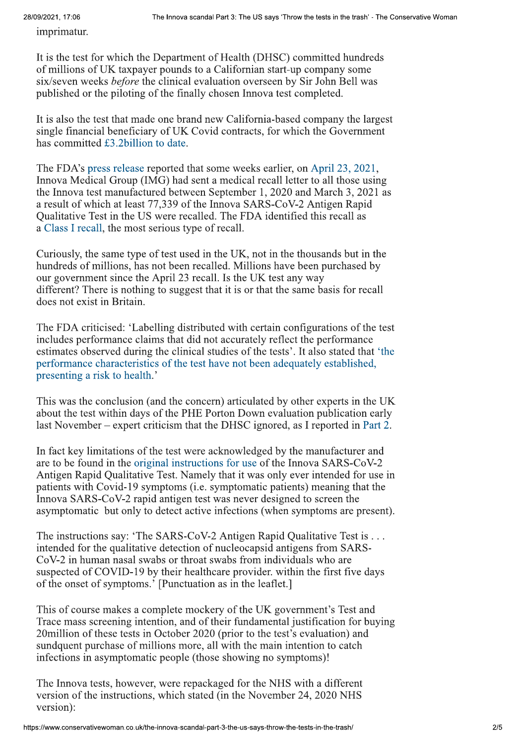28/09/2021, 17:06

imprimatur.

It is the test for which the Department of Health (DHSC) committed hundreds of millions of UK taxpayer pounds to a Californian start-up company some six/seven weeks *before* the clinical evaluation overseen by Sir John Bell was published or the piloting of the finally chosen Innova test completed.

It is also the test that made one brand new California-based company the largest single financial beneficiary of UK Covid contracts, for which the Government has committed £3.2 billion to date.

The FDA's press release reported that some weeks earlier, on April 23, 2021, Innova Medical Group (IMG) had sent a medical recall letter to all those using the Innova test manufactured between September 1, 2020 and March 3, 2021 as a result of which at least 77,339 of the Innova SARS-CoV-2 Antigen Rapid Qualitative Test in the US were recalled. The FDA identified this recall as a Class I recall, the most serious type of recall.

Curiously, the same type of test used in the UK, not in the thousands but in the hundreds of millions, has not been recalled. Millions have been purchased by our government since the April 23 recall. Is the UK test any way different? There is nothing to suggest that it is or that the same basis for recall does not exist in Britain.

The FDA criticised: 'Labelling distributed with certain configurations of the test includes performance claims that did not accurately reflect the performance estimates observed during the clinical studies of the tests'. It also stated that 'the performance characteristics of the test have not been adequately established. presenting a risk to health.'

This was the conclusion (and the concern) articulated by other experts in the UK about the test within days of the PHE Porton Down evaluation publication early last November – expert criticism that the DHSC ignored, as I reported in Part 2.

In fact key limitations of the test were acknowledged by the manufacturer and are to be found in the original instructions for use of the Innova SARS-CoV-2 Antigen Rapid Qualitative Test. Namely that it was only ever intended for use in patients with Covid-19 symptoms (i.e. symptomatic patients) meaning that the Innova SARS-CoV-2 rapid antigen test was never designed to screen the asymptomatic but only to detect active infections (when symptoms are present).

The instructions say: 'The SARS-CoV-2 Antigen Rapid Qualitative Test is  $\dots$ intended for the qualitative detection of nucleocapsid antigens from SARS-CoV-2 in human nasal swabs or throat swabs from individuals who are suspected of COVID-19 by their healthcare provider, within the first five days of the onset of symptoms.' [Punctuation as in the leaflet.]

This of course makes a complete mockery of the UK government's Test and Trace mass screening intention, and of their fundamental justification for buying 20 million of these tests in October 2020 (prior to the test's evaluation) and sundquent purchase of millions more, all with the main intention to catch infections in asymptomatic people (those showing no symptoms)!

The Innova tests, however, were repackaged for the NHS with a different version of the instructions, which stated (in the November 24, 2020 NHS) version):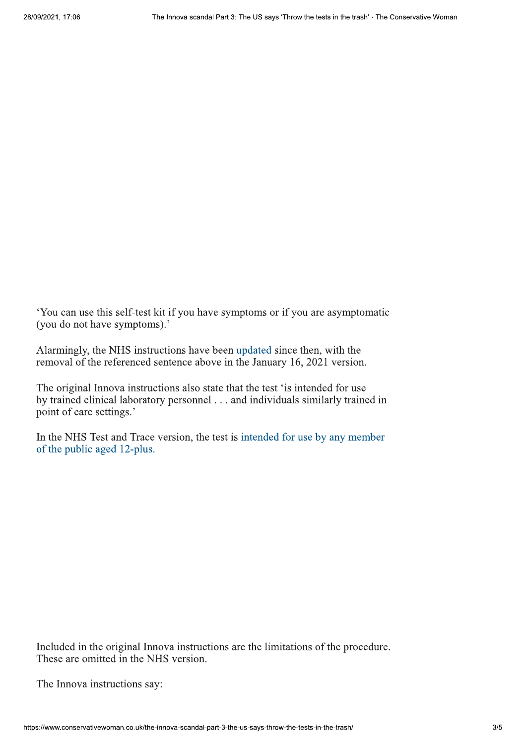. You can use this self-test kit if you have symptoms or if you are asymptomatic (you do not have symptoms).'

Alarmingly, the NHS instructions have been updated since then, with the removal of the referenced sentence above in the January 16, 2021 version.

The original Innova instructions also state that the test 'is intended for use by trained clinical laboratory personnel . . . and individuals similarly trained in point of care settings.'

In the NHS Test and Trace version, the test is intended for use by any member of the public aged 12-plus.

Included in the original Innova instructions are the limitations of the procedure. These are omitted in the NHS version.

The Innova instructions say:<br>The Innova instructions say:<br>https://www.conservativewoman.co.uk/the-innova-scandal The Innova instructions say: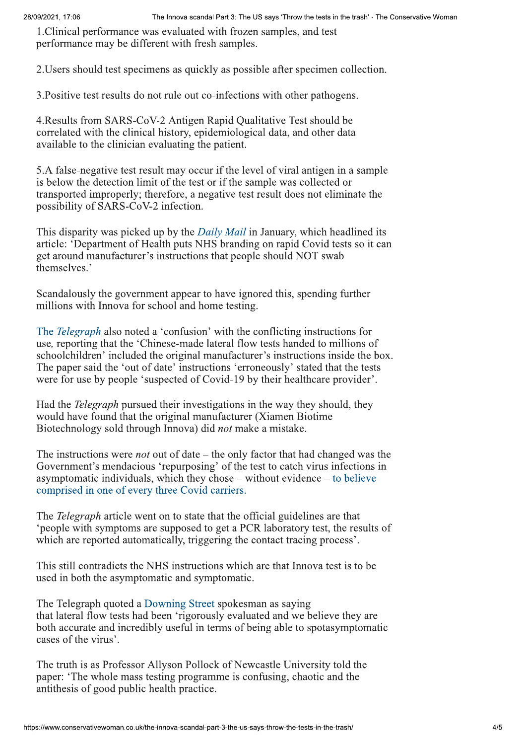1. Clinical performance was evaluated with frozen samples, and test performance may be different with fresh samples.

2. Users should test specimens as quickly as possible after specimen collection.

3. Positive test results do not rule out co-infections with other pathogens.

4. Results from SARS-CoV-2 Antigen Rapid Qualitative Test should be correlated with the clinical history, epidemiological data, and other data available to the clinician evaluating the patient.

5.A false-negative test result may occur if the level of viral antigen in a sample is below the detection limit of the test or if the sample was collected or transported improperly; therefore, a negative test result does not eliminate the possibility of SARS-CoV-2 infection.

This disparity was picked up by the *Daily Mail* in January, which headlined its article: 'Department of Health puts NHS branding on rapid Covid tests so it can get around manufacturer's instructions that people should NOT swab themselves.'

Scandalously the government appear to have ignored this, spending further millions with Innova for school and home testing.

The *Telegraph* also noted a 'confusion' with the conflicting instructions for use, reporting that the 'Chinese-made lateral flow tests handed to millions of schoolchildren' included the original manufacturer's instructions inside the box. The paper said the 'out of date' instructions 'erroneously' stated that the tests were for use by people 'suspected of Covid-19 by their healthcare provider'.

Had the *Telegraph* pursued their investigations in the way they should, they would have found that the original manufacturer (Xiamen Biotime Biotechnology sold through Innova) did *not* make a mistake.

The instructions were *not* out of date – the only factor that had changed was the Government's mendacious 'repurposing' of the test to catch virus infections in asymptomatic individuals, which they chose  $-$  without evidence  $-$  to believe comprised in one of every three Covid carriers.

The *Telegraph* article went on to state that the official guidelines are that \*people with symptoms are supposed to get a PCR laboratory test, the results of which are reported automatically, triggering the contact tracing process'.

This still contradicts the NHS instructions which are that Innova test is to be used in both the asymptomatic and symptomatic.

The Telegraph quoted a Downing Street spokes man as saying that lateral flow tests had been 'rigorously evaluated and we believe they are both accurate and incredibly useful in terms of being able to spotasymptomatic cases of the virus'.

The truth is as Professor Allyson Poll<br>paper: 'The whole mass testing program<br>antithesis of good public health practically<br>https://www.conservativewoman.co.uk/the-innova-scandal The truth is as Professor Allyson Pollock of Newcastle University told the paper: 'The whole mass testing programme is confusing, chaotic and the antithesis of good public health practice.